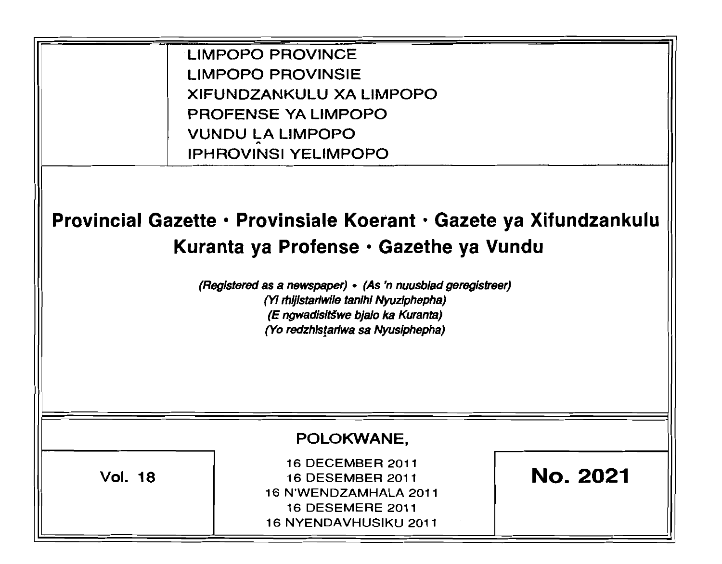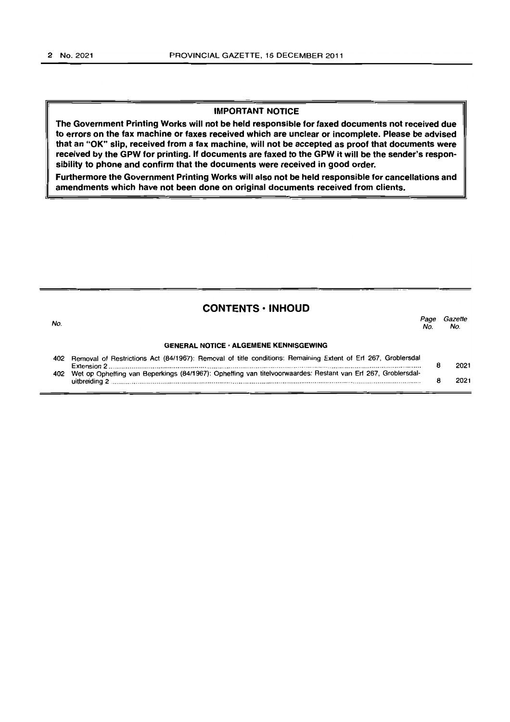#### **IMPORTANT NOTICE**

**The Government Printing Works will not be held responsible for faxed documents not received due to errors on the fax machine or faxes received which are unclear or incomplete. Please be advised that an "OK" slip, received from a fax machine, will not be accepted as proof that documents were received by the GPW for printing. If documents are faxed to the GPW it will be the sender's respon· sibility to phone and confirm that the documents were received in good order.** 

**Furthermore the Government Printing Works will also not be held responsible for cancellations and amendments which have not been done on original documents received from clients.** 

#### **CONTENTS· INHOUD**

| No. |                                                                                                                  | Page<br>No. | Gazette<br>No. |
|-----|------------------------------------------------------------------------------------------------------------------|-------------|----------------|
|     | <b>GENERAL NOTICE · ALGEMENE KENNISGEWING</b>                                                                    |             |                |
|     | 402 Removal of Restrictions Act (84/1967): Removal of title conditions: Remaining Extent of Erf 267, Groblersdal |             | 2021           |
|     | 402 Wet op Opheffing van Beperkings (84/1967): Opheffing van titelvoorwaardes: Restant van Erf 267, Groblersdal- |             | 2021           |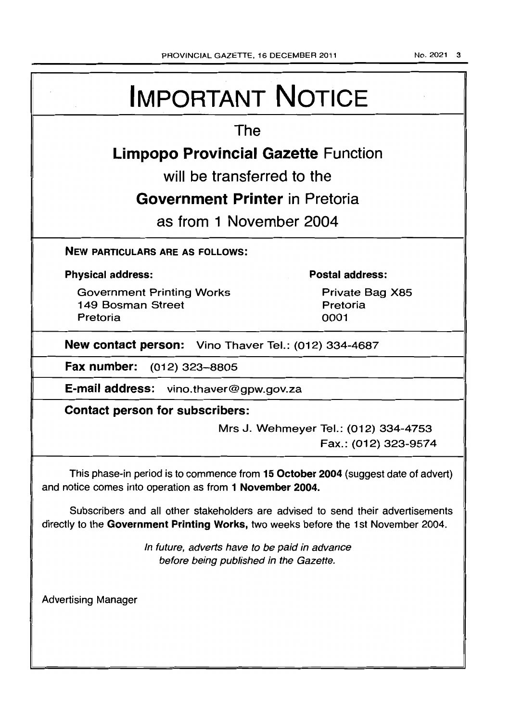No. 2021 3

# IMPORTANT NOTICE The Limpopo Provincial Gazette Function will be transferred to the Government Printer in Pretoria as from 1 November 2004 NEW PARTICULARS ARE AS FOLLOWS: Physical address: Government Printing Works 149 Bosman Street Pretoria Postal address: Private Bag X85 Pretoria 0001 New contact person: Vino Thaver Tel.: (012) 334-4687 Fax number: (012) 323-8805 E-mail address: vino.thaver@gpw.gov.za Contact person for subscribers: Mrs J. Wehmeyer Tel.: (012) 334-4753 Fax.: (012) 323-9574 This phase-in period is to commence from 15 October 2004 (suggest date of advert) and notice comes into operation as from 1 November 2004. Subscribers and all other stakeholders are advised to send their advertisements directly to the Government Printing Works, two weeks before the 1st November 2004. Advertising Manager In future, adverts have to be paid in advance before being published in the Gazette.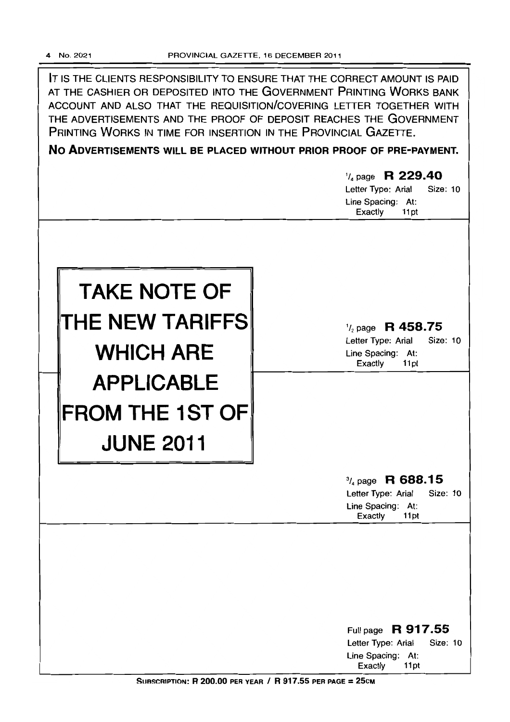IT IS THE CLIENTS RESPONSIBILITY TO ENSURE THAT THE CORRECT AMOUNT IS PAID AT THE CASHIER OR DEPOSITED INTO THE GOVERNMENT PRINTING WORKS BANK ACCOUNT AND ALSO THAT THE REQUISITION/COVERING LETrER TOGETHER WITH THE ADVERTISEMENTS AND THE PROOF OF DEPOSIT REACHES THE GOVERNMENT PRINTING WORKS IN TIME FOR INSERTION IN THE PROVINCIAL GAZETTE.

**No ADVERTISEMENTS WILL BE PLACED WITHOUT PRIOR PROOF OF PRE-PAYMENT.** 

|                                                                 | $\frac{1}{4}$ page R 229.40<br>Letter Type: Arial<br>Size: 10<br>Line Spacing: At:<br>Exactly<br>11pt    |
|-----------------------------------------------------------------|----------------------------------------------------------------------------------------------------------|
| <b>TAKE NOTE OF</b><br>THE NEW TARIFFS<br><b>WHICH ARE</b>      | $\frac{1}{2}$ page R 458.75<br>Letter Type: Arial<br>Size: 10<br>Line Spacing: At:<br>Exactly<br>11pt    |
| <b>APPLICABLE</b><br><b>FROM THE 1ST OF</b><br><b>JUNE 2011</b> |                                                                                                          |
|                                                                 | $\frac{3}{4}$ page R 688.15<br>Size: 10<br>Letter Type: Arial<br>Line Spacing:<br>At:<br>Exactly<br>11pt |
|                                                                 | Full page R 917.55<br>Letter Type: Arial<br>Size: 10<br>Line Spacing: At:<br>Exactly<br>11pt             |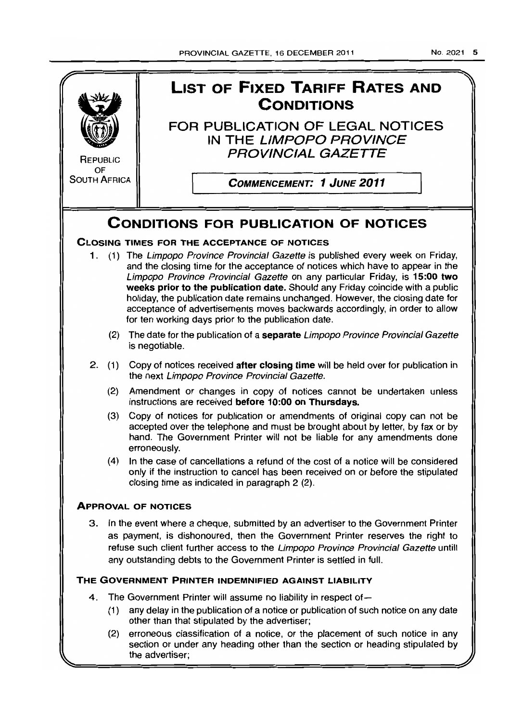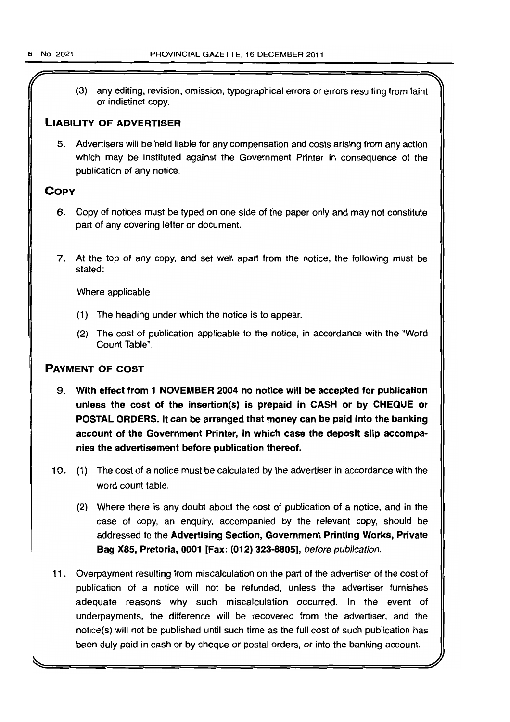(3) any editing, revision, omission, typographical errors or errors resulting from faint or indistinct copy.

#### LIABILITY OF ADVERTISER

5. Advertisers will be held liable for any compensation and costs arising from any action which may be instituted against the Government Printer in consequence of the publication of any notice.

## **COPY**

- 6. Copy of notices must be typed on one side of the paper only and may not constitute part of any covering letter or document.
- 7. At the top of any copy, and set well apart from the notice, the following must be stated:

Where applicable

- (1) The heading under which the notice is to appear.
- (2) The cost of publication applicable to the notice, in accordance with the "Word Count Table".

### PAYMENT OF COST

- 9. With effect from 1 NOVEMBER 2004 no notice will be accepted for publication unless the cost of the insertion(s) is prepaid in CASH or by CHEQUE or POSTAL ORDERS. It can be arranged that money can be paid into the banking account of the Government Printer, in which case the deposit slip accompanies the advertisement before publication thereof.
- 10. (1) The cost of a notice must be calculated by the advertiser in accordance with the word count table.
	- (2) Where there is any doubt about the cost of publication of a notice, and in the case of copy, an enquiry, accompanied by the relevant copy, should be addressed to the Advertising Section, Government Printing Works, Private Bag X85, Pretoria, 0001 [Fax: (012) 323-8805], before publication.
- 11 . Overpayment resulting from miscalculation on the part of the advertiser of the cost of publication of a notice will not be refunded, unless the advertiser furnishes adequate reasons why such miscalculation occurred. In the event of underpayments, the difference will be recovered from the advertiser, and the notice(s) will not be published until such time as the full cost of such publication has been duly paid in cash or by cheque or postal orders, or into the banking account.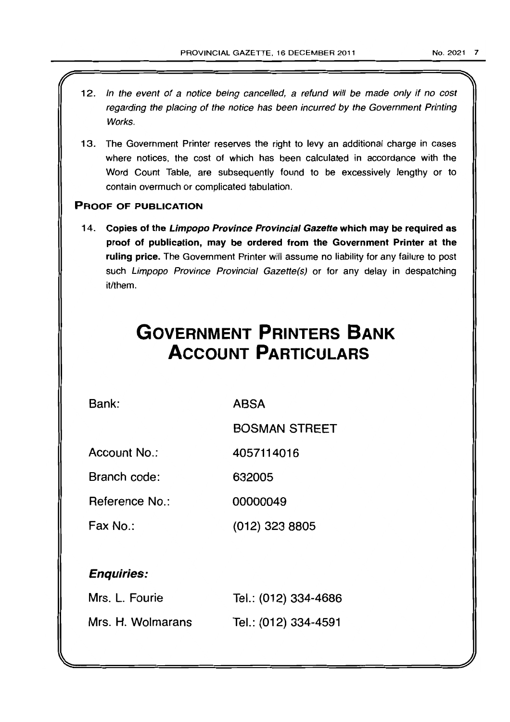- 12. In the event of a notice being cancelled, a refund will be made only if no cost regarding the placing of the notice has been incurred by the Government Printing Works.
- 13. The Government Printer reserves the right to levy an additional charge in cases where notices, the cost of which has been calculated in accordance with the Word Count Table, are subsequently found to be excessively lengthy or to contain overmuch or complicated tabulation.

## PROOF OF PUBLICATION

14. Copies of the Limpopo Province Provincial Gazette which may be required as proof of publication, may be ordered from the Government Printer at the ruling price. The Government Printer will assume no liability for any failure to post such Limpopo Province Provincial Gazette(s) or for any delay in despatching it/them.

## **GOVERNMENT PRINTERS BANK ACCOUNT PARTICULARS**

Bank:

ABSA

632005

BOSMAN STREET

Account No.: 4057114016

Branch code:

Reference No.: 00000049

Fax No.: (012) 323 8805

## Enquiries:

| Mrs. L. Fourie    | Tel.: (012) 334-4686 |
|-------------------|----------------------|
| Mrs. H. Wolmarans | Tel.: (012) 334-4591 |